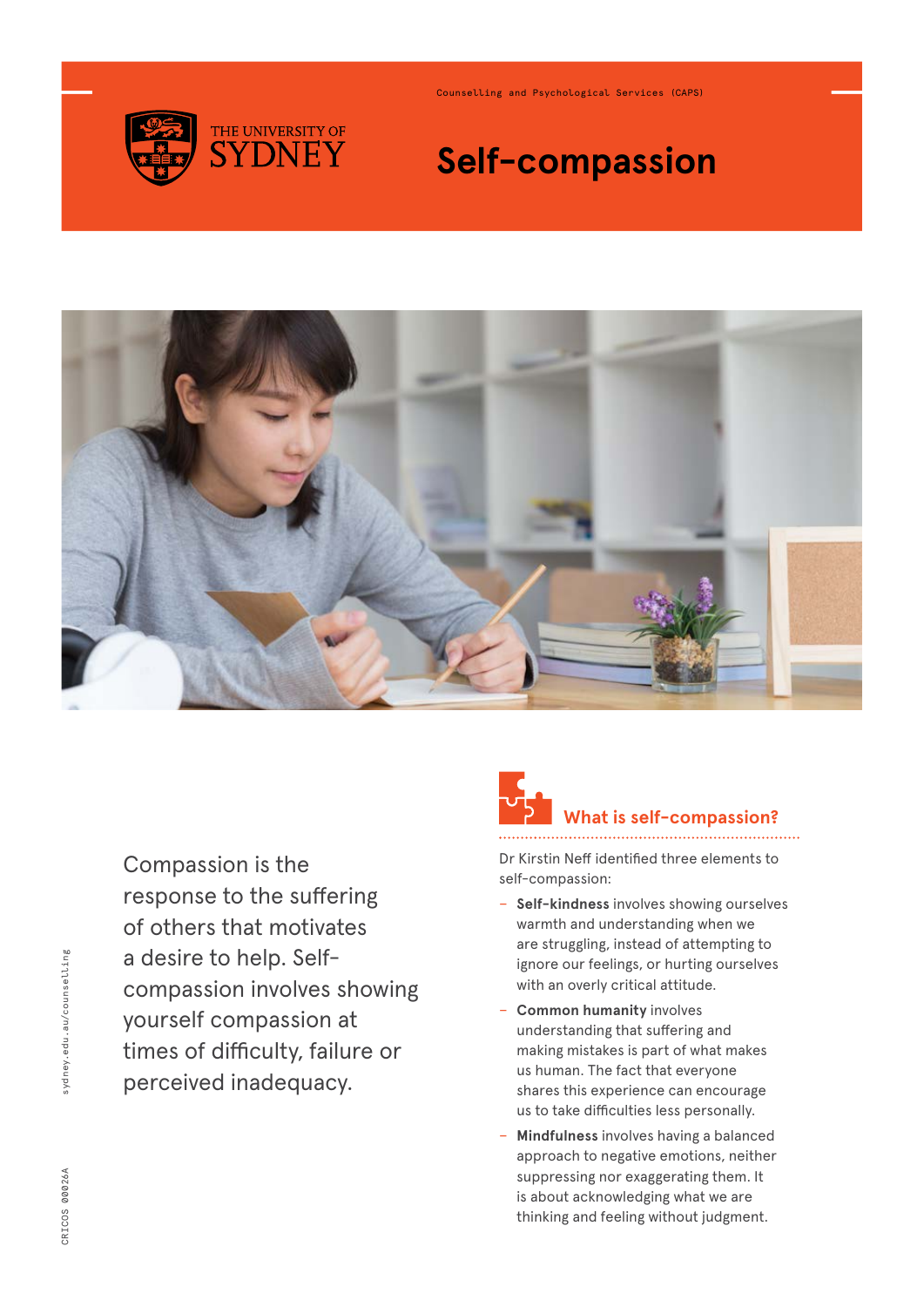

Counselling and Psychological Services (CAPS)

## **Self-compassion**



Compassion is the response to the suffering of others that motivates a desire to help. Selfcompassion involves showing yourself compassion at times of difficulty, failure or perceived inadequacy.

## **What is self-compassion?**

Dr Kirstin Neff identified three elements to self-compassion:

- − **Self-kindness** involves showing ourselves warmth and understanding when we are struggling, instead of attempting to ignore our feelings, or hurting ourselves with an overly critical attitude.
- − **Common humanity** involves understanding that suffering and making mistakes is part of what makes us human. The fact that everyone shares this experience can encourage us to take difficulties less personally.
- − **Mindfulness** involves having a balanced approach to negative emotions, neither suppressing nor exaggerating them. It is about acknowledging what we are thinking and feeling without judgment.